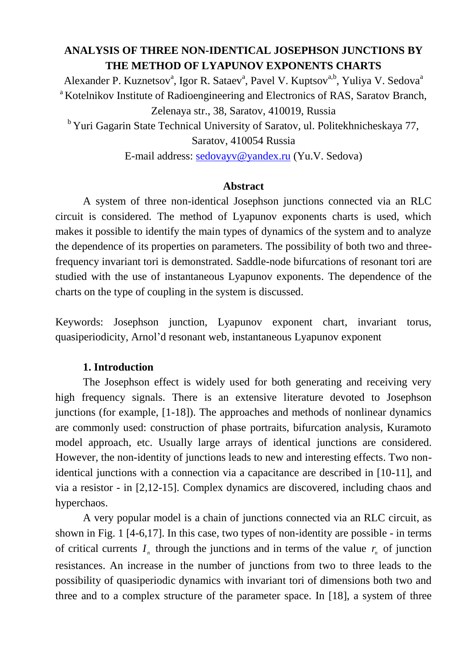# **ANALYSIS OF THREE NON-IDENTICAL JOSEPHSON JUNCTIONS BY THE METHOD OF LYAPUNOV EXPONENTS CHARTS**

Alexander P. Kuznetsov<sup>a</sup>, Igor R. Sataev<sup>a</sup>, Pavel V. Kuptsov<sup>a,b</sup>, Yuliya V. Sedova<sup>a</sup> <sup>a</sup>Kotelnikov Institute of Radioengineering and Electronics of RAS, Saratov Branch, Zelenaya str., 38, Saratov, 410019, Russia <sup>b</sup> Yuri Gagarin State Technical University of Saratov, ul. Politekhnicheskaya 77,

Saratov, 410054 Russia

E-mail address: [sedovayv@yandex.ru](mailto:sedovayv@yandex.ru) (Yu.V. Sedova)

### **Abstract**

A system of three non-identical Josephson junctions connected via an RLC circuit is considered. The method of Lyapunov exponents charts is used, which makes it possible to identify the main types of dynamics of the system and to analyze the dependence of its properties on parameters. The possibility of both two and threefrequency invariant tori is demonstrated. Saddle-node bifurcations of resonant tori are studied with the use of instantaneous Lyapunov exponents. The dependence of the charts on the type of coupling in the system is discussed.

Keywords: Josephson junction, Lyapunov exponent chart, invariant torus, quasiperiodicity, Arnol'd resonant web, instantaneous Lyapunov exponent

## **1. Introduction**

The Josephson effect is widely used for both generating and receiving very high frequency signals. There is an extensive literature devoted to Josephson junctions (for example, [1-18]). The approaches and methods of nonlinear dynamics are commonly used: construction of phase portraits, bifurcation analysis, Kuramoto model approach, etc. Usually large arrays of identical junctions are considered. However, the non-identity of junctions leads to new and interesting effects. Two nonidentical junctions with a connection via a capacitance are described in [10-11], and via a resistor - in [2,12-15]. Complex dynamics are discovered, including chaos and hyperchaos.

A very popular model is a chain of junctions connected via an RLC circuit, as shown in Fig. 1 [4-6,17]. In this case, two types of non-identity are possible - in terms of critical currents  $I_n$  through the junctions and in terms of the value  $r_n$  of junction resistances. An increase in the number of junctions from two to three leads to the possibility of quasiperiodic dynamics with invariant tori of dimensions both two and three and to a complex structure of the parameter space. In [18], a system of three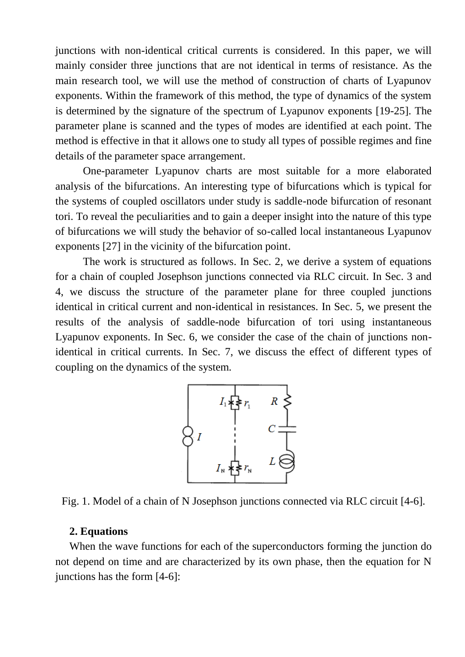junctions with non-identical critical currents is considered. In this paper, we will mainly consider three junctions that are not identical in terms of resistance. As the main research tool, we will use the method of construction of charts of Lyapunov exponents. Within the framework of this method, the type of dynamics of the system is determined by the signature of the spectrum of Lyapunov exponents [19-25]. The parameter plane is scanned and the types of modes are identified at each point. The method is effective in that it allows one to study all types of possible regimes and fine details of the parameter space arrangement.

One-parameter Lyapunov charts are most suitable for a more elaborated analysis of the bifurcations. An interesting type of bifurcations which is typical for the systems of coupled oscillators under study is saddle-node bifurcation of resonant tori. To reveal the peculiarities and to gain a deeper insight into the nature of this type of bifurcations we will study the behavior of so-called local instantaneous Lyapunov exponents [27] in the vicinity of the bifurcation point.

The work is structured as follows. In Sec. 2, we derive a system of equations for a chain of coupled Josephson junctions connected via RLC circuit. In Sec. 3 and 4, we discuss the structure of the parameter plane for three coupled junctions identical in critical current and non-identical in resistances. In Sec. 5, we present the results of the analysis of saddle-node bifurcation of tori using instantaneous Lyapunov exponents. In Sec. 6, we consider the case of the chain of junctions nonidentical in critical currents. In Sec. 7, we discuss the effect of different types of coupling on the dynamics of the system.



Fig. 1. Model of a chain of N Josephson junctions connected via RLC circuit [4-6].

#### **2. Equations**

When the wave functions for each of the superconductors forming the junction do not depend on time and are characterized by its own phase, then the equation for N junctions has the form [4-6]: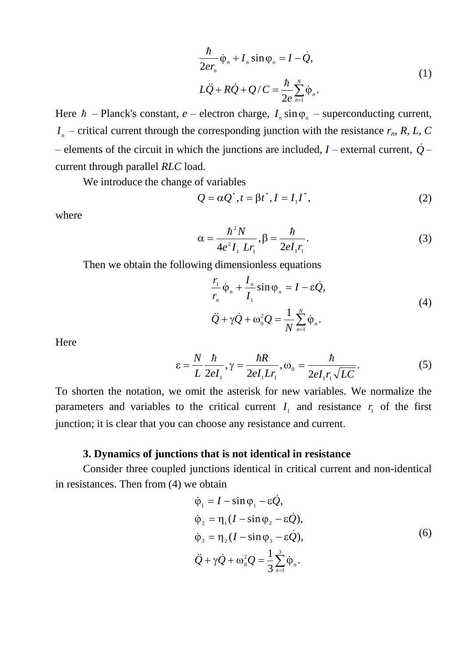$$
\frac{\hbar}{2er_n}\dot{\varphi}_n + I_n \sin \varphi_n = I - \dot{Q},
$$
  

$$
L\ddot{Q} + R\dot{Q} + Q/C = \frac{\hbar}{2e} \sum_{n=1}^N \dot{\varphi}_n.
$$
 (1)

Here  $\hbar$  – Planck's constant, *e* – electron charge,  $I_n \sin \varphi_n$  – superconducting current,  $I_n$  – critical current through the corresponding junction with the resistance  $r_n$ , *R*, *L*, *C* – elements of the circuit in which the junctions are included,  $I$  – external current,  $\dot{Q}$  – current through parallel *RLC* load.

We introduce the change of variables

$$
Q = \alpha Q^*, t = \beta t^*, I = I_1 I^*, \qquad (2)
$$

where

$$
\alpha = \frac{\hbar^2 N}{4e^2 I_1 L r_1}, \beta = \frac{\hbar}{2e I_1 r_1}.
$$
 (3)

Then we obtain the following dimensionless equations

$$
\frac{r_1}{r_n}\dot{\varphi}_n + \frac{I_n}{I_1}\sin\varphi_n = I - \varepsilon \dot{Q},
$$
  

$$
\ddot{Q} + \gamma \dot{Q} + \omega_0^2 Q = \frac{1}{N} \sum_{n=1}^N \dot{\varphi}_n.
$$
 (4)

Here

$$
\varepsilon = \frac{N}{L} \frac{\hbar}{2el_1}, \gamma = \frac{\hbar R}{2el_1 Lr_1}, \omega_0 = \frac{\hbar}{2el_1 r_1 \sqrt{LC}}.
$$
 (5)

To shorten the notation, we omit the asterisk for new variables. We normalize the parameters and variables to the critical current  $I_1$  and resistance  $r_1$  of the first junction; it is clear that you can choose any resistance and current.

## **3. Dynamics of junctions that is not identical in resistance**

Consider three coupled junctions identical in critical current and non-identical in resistances. Then from (4) we obtain

$$
\dot{\varphi}_1 = I - \sin \varphi_1 - \varepsilon \dot{Q},
$$
  
\n
$$
\dot{\varphi}_2 = \eta_1 (I - \sin \varphi_2 - \varepsilon \dot{Q}),
$$
  
\n
$$
\dot{\varphi}_3 = \eta_2 (I - \sin \varphi_3 - \varepsilon \dot{Q}),
$$
  
\n
$$
\dot{Q} + \gamma \dot{Q} + \omega_0^2 Q = \frac{1}{3} \sum_{n=1}^3 \dot{\varphi}_n.
$$
\n(6)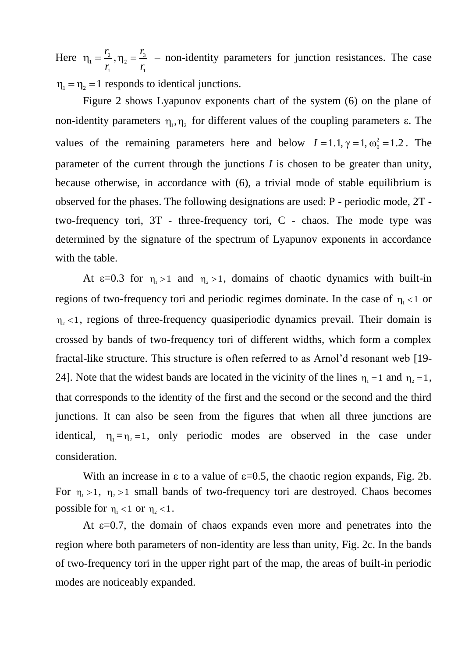Here 1 3 2 1 2  $\frac{1}{1} = \frac{1}{1}$ , *r r r r*  $\eta_1 = \frac{r_2}{r_1}$ ,  $\eta_2 = \frac{r_3}{r_2}$  – non-identity parameters for junction resistances. The case  $\eta_1 = \eta_2 = 1$  responds to identical junctions.

Figure 2 shows Lyapunov exponents chart of the system (6) on the plane of non-identity parameters  $\eta_1, \eta_2$  for different values of the coupling parameters  $\varepsilon$ . The values of the remaining parameters here and below  $I = 1.1$ ,  $\gamma = 1$ ,  $\omega_0^2 = 1.2$ . The parameter of the current through the junctions *I* is chosen to be greater than unity, because otherwise, in accordance with (6), a trivial mode of stable equilibrium is observed for the phases. The following designations are used: P - periodic mode, 2T two-frequency tori, 3T - three-frequency tori, C - chaos. The mode type was determined by the signature of the spectrum of Lyapunov exponents in accordance with the table.

At  $\varepsilon$ =0.3 for  $\eta_1 > 1$  and  $\eta_2 > 1$ , domains of chaotic dynamics with built-in regions of two-frequency tori and periodic regimes dominate. In the case of  $\eta_1 < 1$  or  $\eta_2$  <1, regions of three-frequency quasiperiodic dynamics prevail. Their domain is crossed by bands of two-frequency tori of different widths, which form a complex fractal-like structure. This structure is often referred to as Arnol'd resonant web [19- 24]. Note that the widest bands are located in the vicinity of the lines  $\eta_1 = 1$  and  $\eta_2 = 1$ , that corresponds to the identity of the first and the second or the second and the third junctions. It can also be seen from the figures that when all three junctions are identical,  $\eta_1 = \eta_2 = 1$ , only periodic modes are observed in the case under consideration.

With an increase in  $\varepsilon$  to a value of  $\varepsilon$ =0.5, the chaotic region expands, Fig. 2b. For  $\eta_1 > 1$ ,  $\eta_2 > 1$  small bands of two-frequency tori are destroyed. Chaos becomes possible for  $\eta_1 < 1$  or  $\eta_2 < 1$ .

At  $\varepsilon$ =0.7, the domain of chaos expands even more and penetrates into the region where both parameters of non-identity are less than unity, Fig. 2c. In the bands of two-frequency tori in the upper right part of the map, the areas of built-in periodic modes are noticeably expanded.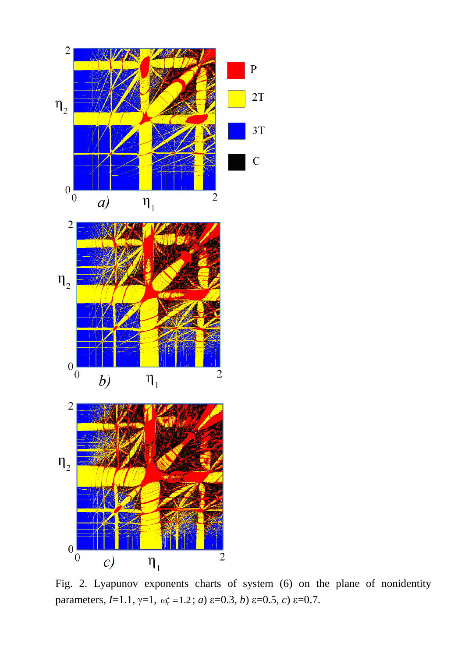

Fig. 2. Lyapunov exponents charts of system (6) on the plane of nonidentity parameters,  $I=1.1$ ,  $\gamma=1$ ,  $\omega_0^2=1.2$ ; *a*)  $\varepsilon=0.3$ , *b*)  $\varepsilon=0.5$ , *c*)  $\varepsilon=0.7$ .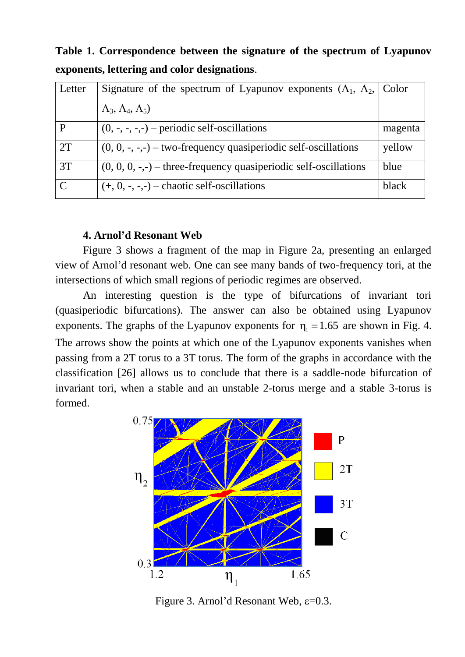Letter Signature of the spectrum of Lyapunov exponents  $(\Lambda_1, \Lambda_2, \Lambda_3)$  $Λ_3$ ,  $Λ_4$ ,  $Λ_5$ ) Color  $P$  (0, -, -, -,-) – periodic self-oscillations magenta  $2T$  (0, 0, -, -,-) – two-frequency quasiperiodic self-oscillations yellow  $3T$  (0, 0, 0, -,-) – three-frequency quasiperiodic self-oscillations blue  $C \left| (+, 0, -, -, -) - \text{chaotic self-oscillations} \right|$  black

**Table 1. Correspondence between the signature of the spectrum of Lyapunov exponents, lettering and color designations**.

### **4. Arnol'd Resonant Web**

Figure 3 shows a fragment of the map in Figure 2a, presenting an enlarged view of Arnol'd resonant web. One can see many bands of two-frequency tori, at the intersections of which small regions of periodic regimes are observed.

An interesting question is the type of bifurcations of invariant tori (quasiperiodic bifurcations). The answer can also be obtained using Lyapunov exponents. The graphs of the Lyapunov exponents for  $\eta_1 = 1.65$  are shown in Fig. 4. The arrows show the points at which one of the Lyapunov exponents vanishes when passing from a 2T torus to a 3T torus. The form of the graphs in accordance with the classification [26] allows us to conclude that there is a saddle-node bifurcation of invariant tori, when a stable and an unstable 2-torus merge and a stable 3-torus is formed.



Figure 3. Arnol'd Resonant Web,  $\varepsilon$ =0.3.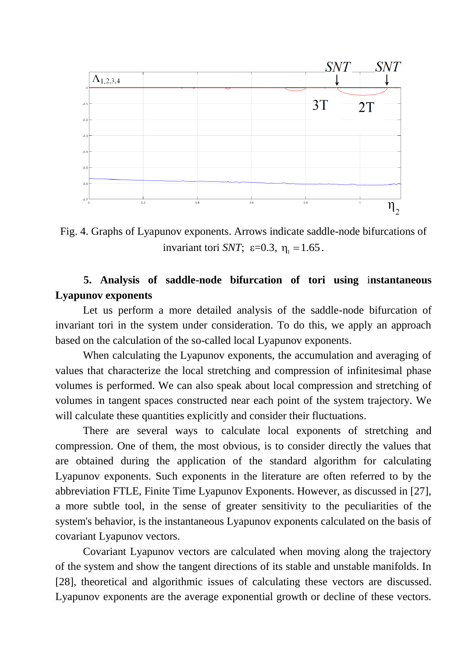

Fig. 4. Graphs of Lyapunov exponents. Arrows indicate saddle-node bifurcations of invariant tori *SNT*;  $\varepsilon = 0.3$ ,  $\eta_1 = 1.65$ .

# **5. Analysis of saddle-node bifurcation of tori using** i**nstantaneous Lyapunov exponents**

Let us perform a more detailed analysis of the saddle-node bifurcation of invariant tori in the system under consideration. To do this, we apply an approach based on the calculation of the so-called local Lyapunov exponents.

When calculating the Lyapunov exponents, the accumulation and averaging of values that characterize the local stretching and compression of infinitesimal phase volumes is performed. We can also speak about local compression and stretching of volumes in tangent spaces constructed near each point of the system trajectory. We will calculate these quantities explicitly and consider their fluctuations.

There are several ways to calculate local exponents of stretching and compression. One of them, the most obvious, is to consider directly the values that are obtained during the application of the standard algorithm for calculating Lyapunov exponents. Such exponents in the literature are often referred to by the abbreviation FTLE, Finite Time Lyapunov Exponents. However, as discussed in [27], a more subtle tool, in the sense of greater sensitivity to the peculiarities of the system's behavior, is the instantaneous Lyapunov exponents calculated on the basis of covariant Lyapunov vectors.

Covariant Lyapunov vectors are calculated when moving along the trajectory of the system and show the tangent directions of its stable and unstable manifolds. In [28], theoretical and algorithmic issues of calculating these vectors are discussed. Lyapunov exponents are the average exponential growth or decline of these vectors.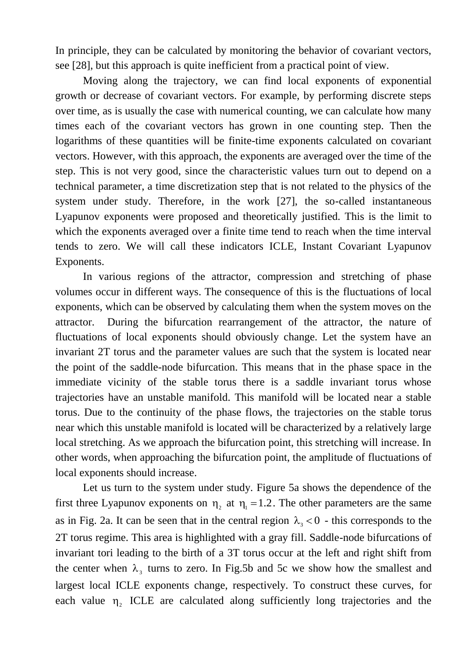In principle, they can be calculated by monitoring the behavior of covariant vectors, see [28], but this approach is quite inefficient from a practical point of view.

Moving along the trajectory, we can find local exponents of exponential growth or decrease of covariant vectors. For example, by performing discrete steps over time, as is usually the case with numerical counting, we can calculate how many times each of the covariant vectors has grown in one counting step. Then the logarithms of these quantities will be finite-time exponents calculated on covariant vectors. However, with this approach, the exponents are averaged over the time of the step. This is not very good, since the characteristic values turn out to depend on a technical parameter, a time discretization step that is not related to the physics of the system under study. Therefore, in the work [27], the so-called instantaneous Lyapunov exponents were proposed and theoretically justified. This is the limit to which the exponents averaged over a finite time tend to reach when the time interval tends to zero. We will call these indicators ICLE, Instant Covariant Lyapunov Exponents.

In various regions of the attractor, compression and stretching of phase volumes occur in different ways. The consequence of this is the fluctuations of local exponents, which can be observed by calculating them when the system moves on the attractor. During the bifurcation rearrangement of the attractor, the nature of fluctuations of local exponents should obviously change. Let the system have an invariant 2T torus and the parameter values are such that the system is located near the point of the saddle-node bifurcation. This means that in the phase space in the immediate vicinity of the stable torus there is a saddle invariant torus whose trajectories have an unstable manifold. This manifold will be located near a stable torus. Due to the continuity of the phase flows, the trajectories on the stable torus near which this unstable manifold is located will be characterized by a relatively large local stretching. As we approach the bifurcation point, this stretching will increase. In other words, when approaching the bifurcation point, the amplitude of fluctuations of local exponents should increase.

Let us turn to the system under study. Figure 5a shows the dependence of the first three Lyapunov exponents on  $\eta_2$  at  $\eta_1 = 1.2$ . The other parameters are the same as in Fig. 2a. It can be seen that in the central region  $\lambda_3 < 0$  - this corresponds to the 2T torus regime. This area is highlighted with a gray fill. Saddle-node bifurcations of invariant tori leading to the birth of a 3T torus occur at the left and right shift from the center when  $\lambda_3$  turns to zero. In Fig.5b and 5c we show how the smallest and largest local ICLE exponents change, respectively. To construct these curves, for each value  $\eta_2$  ICLE are calculated along sufficiently long trajectories and the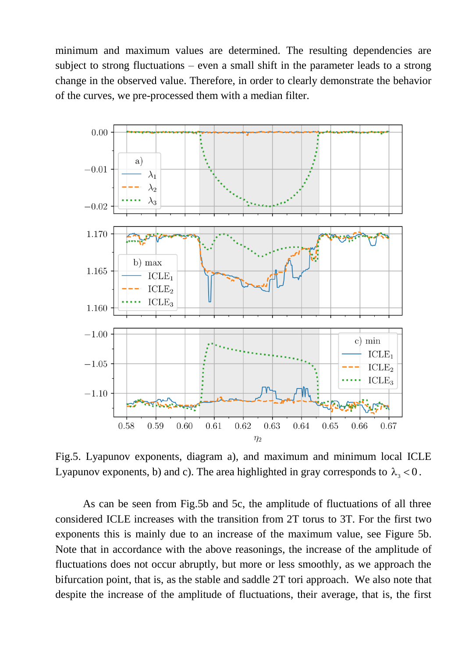minimum and maximum values are determined. The resulting dependencies are subject to strong fluctuations – even a small shift in the parameter leads to a strong change in the observed value. Therefore, in order to clearly demonstrate the behavior of the curves, we pre-processed them with a median filter.



Fig.5. Lyapunov exponents, diagram a), and maximum and minimum local ICLE Lyapunov exponents, b) and c). The area highlighted in gray corresponds to  $\lambda_3 < 0$ .

As can be seen from Fig.5b and 5c, the amplitude of fluctuations of all three considered ICLE increases with the transition from 2T torus to 3T. For the first two exponents this is mainly due to an increase of the maximum value, see Figure 5b. Note that in accordance with the above reasonings, the increase of the amplitude of fluctuations does not occur abruptly, but more or less smoothly, as we approach the bifurcation point, that is, as the stable and saddle 2T tori approach. We also note that despite the increase of the amplitude of fluctuations, their average, that is, the first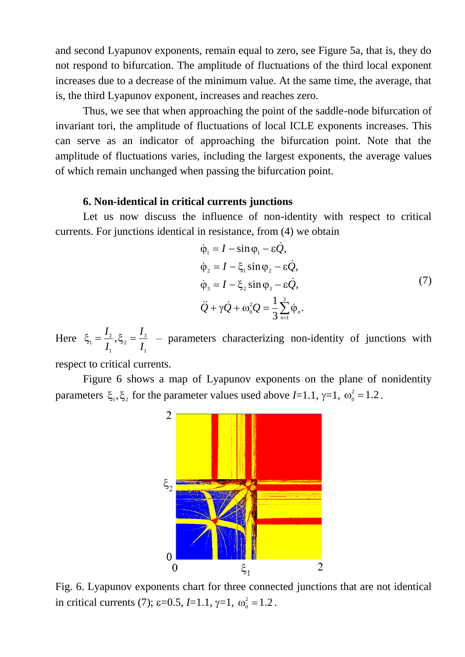and second Lyapunov exponents, remain equal to zero, see Figure 5a, that is, they do not respond to bifurcation. The amplitude of fluctuations of the third local exponent increases due to a decrease of the minimum value. At the same time, the average, that is, the third Lyapunov exponent, increases and reaches zero.

Thus, we see that when approaching the point of the saddle-node bifurcation of invariant tori, the amplitude of fluctuations of local ICLE exponents increases. This can serve as an indicator of approaching the bifurcation point. Note that the amplitude of fluctuations varies, including the largest exponents, the average values of which remain unchanged when passing the bifurcation point.

#### **6. Non-identical in critical currents junctions**

Let us now discuss the influence of non-identity with respect to critical currents. For junctions identical in resistance, from (4) we obtain

$$
\dot{\varphi}_1 = I - \sin \varphi_1 - \varepsilon \dot{Q}, \n\dot{\varphi}_2 = I - \xi_1 \sin \varphi_2 - \varepsilon \dot{Q}, \n\dot{\varphi}_3 = I - \xi_2 \sin \varphi_3 - \varepsilon \dot{Q}, \n\ddot{Q} + \gamma \dot{Q} + \omega_0^2 Q = \frac{1}{3} \sum_{n=1}^3 \dot{\varphi}_n.
$$
\n(7)

Here 1 3 2 1 2  $\frac{1}{1} = \frac{1}{1}$ , *I I I I*  $\xi_1 = \frac{I_2}{I_1}, \xi_2 = \frac{I_3}{I_2}$  – parameters characterizing non-identity of junctions with

respect to critical currents.

Figure 6 shows a map of Lyapunov exponents on the plane of nonidentity parameters  $\xi_1, \xi_2$  for the parameter values used above *I*=1.1,  $\gamma$ =1,  $\omega_0^2$  = 1.2.



Fig. 6. Lyapunov exponents chart for three connected junctions that are not identical in critical currents (7);  $\varepsilon$ =0.5, *I*=1.1,  $\gamma$ =1,  $\omega_0^2$  =1.2.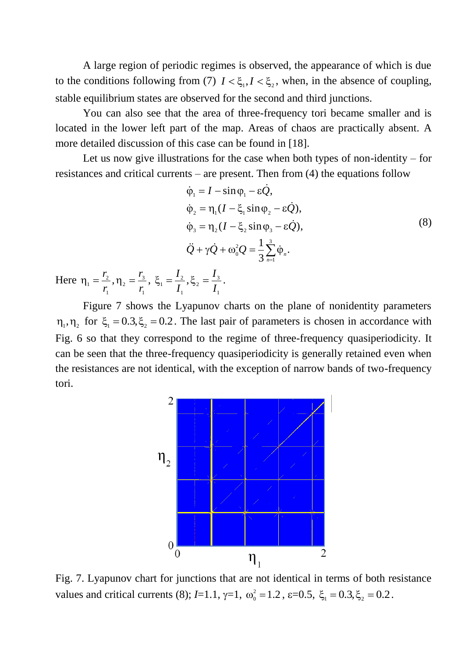A large region of periodic regimes is observed, the appearance of which is due to the conditions following from (7)  $I < \xi_1, I < \xi_2$ , when, in the absence of coupling, stable equilibrium states are observed for the second and third junctions.

You can also see that the area of three-frequency tori became smaller and is located in the lower left part of the map. Areas of chaos are practically absent. A more detailed discussion of this case can be found in [18].

Let us now give illustrations for the case when both types of non-identity – for resistances and critical currents – are present. Then from (4) the equations follow

$$
\dot{\varphi}_1 = I - \sin \varphi_1 - \varepsilon \dot{Q},
$$
\n
$$
\dot{\varphi}_2 = \eta_1 (I - \xi_1 \sin \varphi_2 - \varepsilon \dot{Q}),
$$
\n
$$
\dot{\varphi}_3 = \eta_2 (I - \xi_2 \sin \varphi_3 - \varepsilon \dot{Q}),
$$
\n
$$
\ddot{Q} + \gamma \dot{Q} + \omega_0^2 Q = \frac{1}{3} \sum_{n=1}^3 \dot{\varphi}_n.
$$
\n
$$
= \frac{I_2}{I_1}, \xi_2 = \frac{I_3}{I_2}.
$$
\n(8)

Here 1 3 2 1 2  $\frac{1}{1} = \frac{r_2}{r_1},$ *r r r r*  $\eta_1 = \frac{r_2}{r_1}, \eta_2 = \frac{r_3}{r_2},$ 1 1  $\frac{1}{1} = \frac{1}{1}$ , *I I*  $\xi_1 = \frac{I_2}{I_1}, \xi_2 = \frac{I_3}{I_1}.$ 

Figure 7 shows the Lyapunov charts on the plane of nonidentity parameters  $\eta_1, \eta_2$  for  $\xi_1 = 0.3, \xi_2 = 0.2$ . The last pair of parameters is chosen in accordance with Fig. 6 so that they correspond to the regime of three-frequency quasiperiodicity. It can be seen that the three-frequency quasiperiodicity is generally retained even when the resistances are not identical, with the exception of narrow bands of two-frequency tori.



Fig. 7. Lyapunov chart for junctions that are not identical in terms of both resistance values and critical currents (8);  $I=1.1$ ,  $\gamma=1$ ,  $\omega_0^2 = 1.2$ ,  $\varepsilon=0.5$ ,  $\xi_1 = 0.3$ ,  $\xi_2 = 0.2$ .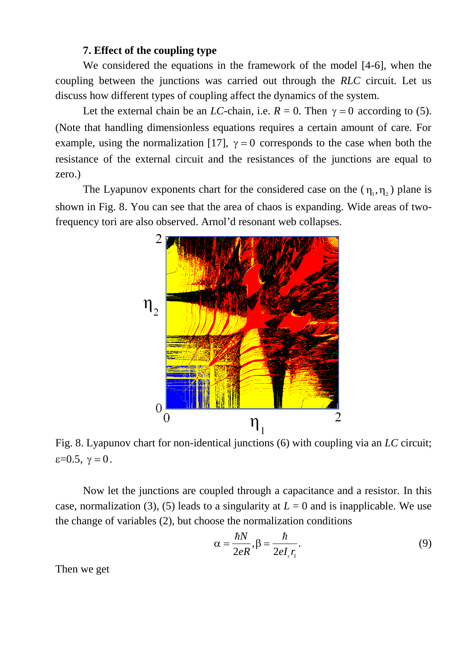## **7. Effect of the coupling type**

We considered the equations in the framework of the model [4-6], when the coupling between the junctions was carried out through the *RLC* circuit. Let us discuss how different types of coupling affect the dynamics of the system.

Let the external chain be an *LC*-chain, i.e.  $R = 0$ . Then  $\gamma = 0$  according to (5). (Note that handling dimensionless equations requires a certain amount of care. For example, using the normalization [17],  $\gamma = 0$  corresponds to the case when both the resistance of the external circuit and the resistances of the junctions are equal to zero.)

The Lyapunov exponents chart for the considered case on the  $(\eta_1, \eta_2)$  plane is shown in Fig. 8. You can see that the area of chaos is expanding. Wide areas of twofrequency tori are also observed. Arnol'd resonant web collapses.



Fig. 8. Lyapunov chart for non-identical junctions (6) with coupling via an *LC* circuit;  $\varepsilon = 0.5$ ,  $\gamma = 0$ .

Now let the junctions are coupled through a capacitance and a resistor. In this case, normalization (3), (5) leads to a singularity at  $L = 0$  and is inapplicable. We use the change of variables (2), but choose the normalization conditions

$$
\alpha = \frac{\hbar N}{2eR}, \beta = \frac{\hbar}{2eI_c r_1}.
$$
\n(9)

Then we get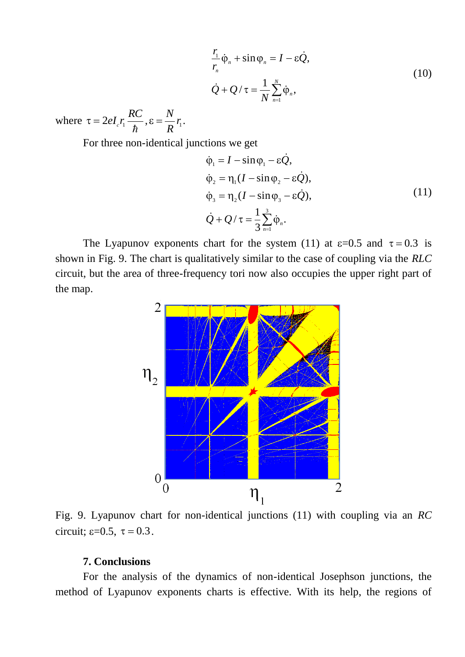$$
\frac{r_1}{r_n}\dot{\varphi}_n + \sin \varphi_n = I - \varepsilon \dot{Q},
$$
  

$$
\dot{Q} + Q / \tau = \frac{1}{N} \sum_{n=1}^N \dot{\varphi}_n,
$$
 (10)

where  $\hbar$  $\tau = 2eI_c r_1 \frac{RC}{\hbar}, \varepsilon = \frac{N}{R} r_1$ *R N*  $\epsilon = \frac{N}{R} r_{\rm i}.$ 

For three non-identical junctions we get

$$
\dot{\varphi}_1 = I - \sin \varphi_1 - \varepsilon \dot{Q},
$$
\n
$$
\dot{\varphi}_2 = \eta_1 (I - \sin \varphi_2 - \varepsilon \dot{Q}),
$$
\n
$$
\dot{\varphi}_3 = \eta_2 (I - \sin \varphi_3 - \varepsilon \dot{Q}),
$$
\n
$$
\dot{Q} + Q / \tau = \frac{1}{3} \sum_{n=1}^{3} \dot{\varphi}_n.
$$
\n(11)

The Lyapunov exponents chart for the system (11) at  $\varepsilon$ =0.5 and  $\tau$  = 0.3 is shown in Fig. 9. The chart is qualitatively similar to the case of coupling via the *RLC* circuit, but the area of three-frequency tori now also occupies the upper right part of the map.



Fig. 9. Lyapunov chart for non-identical junctions (11) with coupling via an *RC* circuit;  $\varepsilon = 0.5$ ,  $\tau = 0.3$ .

## **7. Conclusions**

For the analysis of the dynamics of non-identical Josephson junctions, the method of Lyapunov exponents charts is effective. With its help, the regions of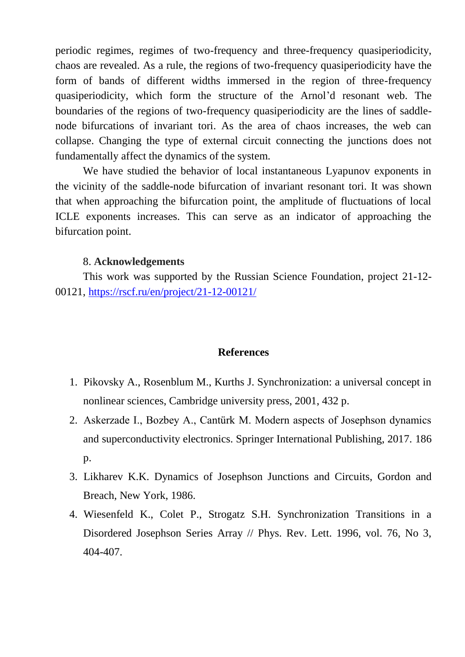periodic regimes, regimes of two-frequency and three-frequency quasiperiodicity, chaos are revealed. As a rule, the regions of two-frequency quasiperiodicity have the form of bands of different widths immersed in the region of three-frequency quasiperiodicity, which form the structure of the Arnol'd resonant web. The boundaries of the regions of two-frequency quasiperiodicity are the lines of saddlenode bifurcations of invariant tori. As the area of chaos increases, the web can collapse. Changing the type of external circuit connecting the junctions does not fundamentally affect the dynamics of the system.

We have studied the behavior of local instantaneous Lyapunov exponents in the vicinity of the saddle-node bifurcation of invariant resonant tori. It was shown that when approaching the bifurcation point, the amplitude of fluctuations of local ICLE exponents increases. This can serve as an indicator of approaching the bifurcation point.

## 8. **Acknowledgements**

This work was supported by the Russian Science Foundation, project 21-12- 00121, <https://rscf.ru/en/project/21-12-00121/>

### **References**

- 1. Pikovsky A., Rosenblum M., Kurths J. Synchronization: a universal concept in nonlinear sciences, Cambridge university press, 2001, 432 p.
- 2. Askerzade I., Bozbey A., Cantürk M. Modern aspects of Josephson dynamics and superconductivity electronics. Springer International Publishing, 2017. 186 p.
- 3. Likharev K.K. Dynamics of Josephson Junctions and Circuits, Gordon and Breach, New York, 1986.
- 4. Wiesenfeld K., Colet P., Strogatz S.H. Synchronization Transitions in a Disordered Josephson Series Array // Phys. Rev. Lett. 1996, vol. 76, No 3, 404-407.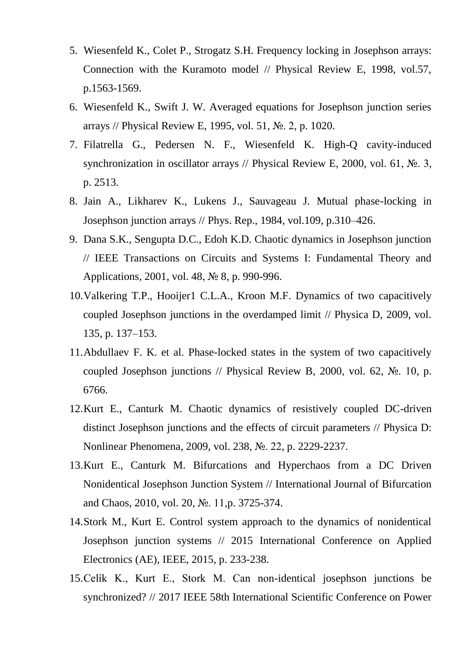- 5. Wiesenfeld K., Colet P., Strogatz S.H. Frequency locking in Josephson arrays: Connection with the Kuramoto model // Physical Review E, 1998, vol.57, p.1563-1569.
- 6. Wiesenfeld K., Swift J. W. Averaged equations for Josephson junction series arrays // Physical Review E, 1995, vol. 51, №. 2, p. 1020.
- 7. Filatrella G., Pedersen N. F., Wiesenfeld K. High-Q cavity-induced synchronization in oscillator arrays // Physical Review E, 2000, vol. 61, №. 3, p. 2513.
- 8. Jain A., Likharev K., Lukens J., Sauvageau J. Mutual phase-locking in Josephson junction arrays // Phys. Rep., 1984, vol.109, p.310–426.
- 9. Dana S.K., Sengupta D.C., Edoh K.D. Chaotic dynamics in Josephson junction // IEEE Transactions on Circuits and Systems I: Fundamental Theory and Applications, 2001, vol. 48, № 8, p. 990-996.
- 10.Valkering T.P., Hooijer1 C.L.A., Kroon M.F. Dynamics of two capacitively coupled Josephson junctions in the overdamped limit // Physica D, 2009, vol. 135, p. 137–153.
- 11.Abdullaev F. K. et al. Phase-locked states in the system of two capacitively coupled Josephson junctions // Physical Review B, 2000, vol. 62,  $\mathbb{N}_2$ . 10, p. 6766.
- 12.Kurt E., Canturk M. Chaotic dynamics of resistively coupled DC-driven distinct Josephson junctions and the effects of circuit parameters // Physica D: Nonlinear Phenomena, 2009, vol. 238, №. 22, p. 2229-2237.
- 13.Kurt E., Canturk M. Bifurcations and Hyperchaos from a DC Driven Nonidentical Josephson Junction System // International Journal of Bifurcation and Chaos, 2010, vol. 20, №. 11,p. 3725-374.
- 14.Stork M., Kurt E. Control system approach to the dynamics of nonidentical Josephson junction systems // 2015 International Conference on Applied Electronics (AE), IEEE, 2015, p. 233-238.
- 15.Celík K., Kurt E., Stork M. Can non-identical josephson junctions be synchronized? // 2017 IEEE 58th International Scientific Conference on Power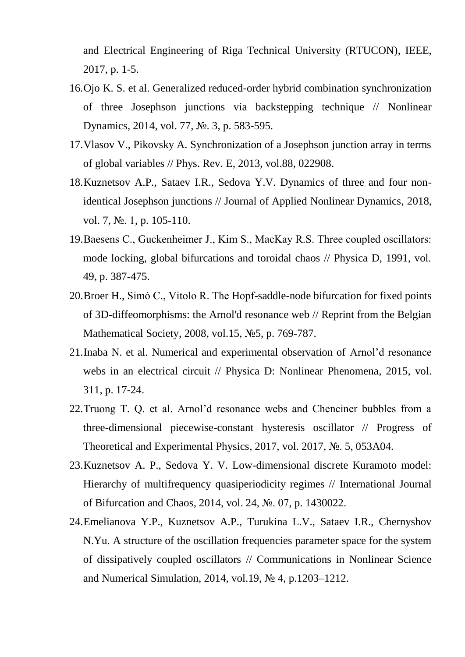and Electrical Engineering of Riga Technical University (RTUCON), IEEE, 2017, p. 1-5.

- 16.Ojo K. S. et al. Generalized reduced-order hybrid combination synchronization of three Josephson junctions via backstepping technique // Nonlinear Dynamics, 2014, vol. 77, №. 3, p. 583-595.
- 17.Vlasov V., Pikovsky A. Synchronization of a Josephson junction array in terms of global variables // Phys. Rev. E, 2013, vol.88, 022908.
- 18.Kuznetsov A.P., Sataev I.R., Sedova Y.V. Dynamics of three and four nonidentical Josephson junctions // Journal of Applied Nonlinear Dynamics, 2018, vol. 7, №. 1, p. 105-110.
- 19.Baesens С., Guckenheimer J., Kim S., MacKay R.S. Three coupled oscillators: mode locking, global bifurcations and toroidal chaos // Physica D, 1991, vol. 49, p. 387-475.
- 20.Broer H., Simó C., Vitolo R. The Hopf-saddle-node bifurcation for fixed points of 3D-diffeomorphisms: the Arnol'd resonance web // Reprint from the Belgian Mathematical Society, 2008, vol.15, №5, p. 769-787.
- 21.Inaba N. et al. Numerical and experimental observation of Arnol'd resonance webs in an electrical circuit // Physica D: Nonlinear Phenomena, 2015, vol. 311, p. 17-24.
- 22.Truong T. Q. et al. Arnol'd resonance webs and Chenciner bubbles from a three-dimensional piecewise-constant hysteresis oscillator // Progress of Theoretical and Experimental Physics, 2017, vol. 2017, №. 5, 053A04.
- 23.Kuznetsov A. P., Sedova Y. V. Low-dimensional discrete Kuramoto model: Hierarchy of multifrequency quasiperiodicity regimes // International Journal of Bifurcation and Chaos, 2014, vol. 24, №. 07, p. 1430022.
- 24.Emelianova Y.P., Kuznetsov A.P., Turukina L.V., Sataev I.R., Chernyshov N.Yu. A structure of the oscillation frequencies parameter space for the system of dissipatively coupled oscillators // Communications in Nonlinear Science and Numerical Simulation, 2014, vol.19, № 4, p.1203–1212.